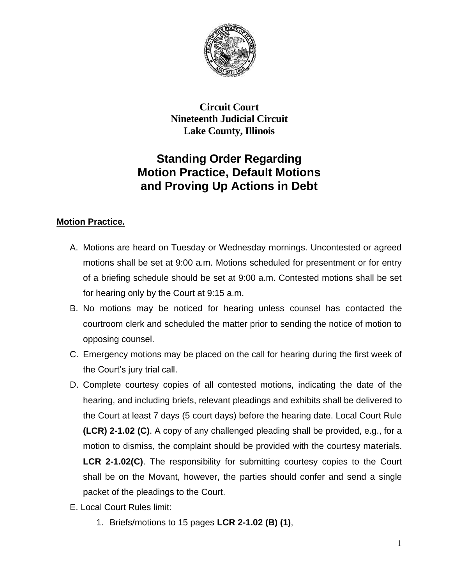

**Circuit Court Nineteenth Judicial Circuit Lake County, Illinois**

# **Standing Order Regarding Motion Practice, Default Motions and Proving Up Actions in Debt**

## **Motion Practice.**

- A. Motions are heard on Tuesday or Wednesday mornings. Uncontested or agreed motions shall be set at 9:00 a.m. Motions scheduled for presentment or for entry of a briefing schedule should be set at 9:00 a.m. Contested motions shall be set for hearing only by the Court at 9:15 a.m.
- B. No motions may be noticed for hearing unless counsel has contacted the courtroom clerk and scheduled the matter prior to sending the notice of motion to opposing counsel.
- C. Emergency motions may be placed on the call for hearing during the first week of the Court's jury trial call.
- D. Complete courtesy copies of all contested motions, indicating the date of the hearing, and including briefs, relevant pleadings and exhibits shall be delivered to the Court at least 7 days (5 court days) before the hearing date. Local Court Rule **(LCR) 2-1.02 (C)**. A copy of any challenged pleading shall be provided, e.g., for a motion to dismiss, the complaint should be provided with the courtesy materials. **LCR 2-1.02(C)**. The responsibility for submitting courtesy copies to the Court shall be on the Movant, however, the parties should confer and send a single packet of the pleadings to the Court.
- E. Local Court Rules limit:
	- 1. Briefs/motions to 15 pages **LCR 2-1.02 (B) (1)**,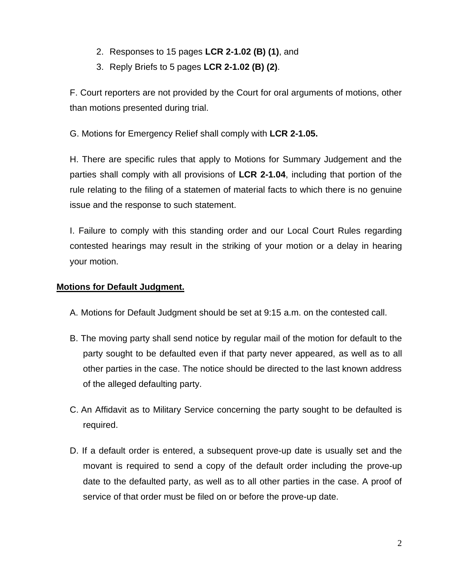- 2. Responses to 15 pages **LCR 2-1.02 (B) (1)**, and
- 3. Reply Briefs to 5 pages **LCR 2-1.02 (B) (2)**.

F. Court reporters are not provided by the Court for oral arguments of motions, other than motions presented during trial.

G. Motions for Emergency Relief shall comply with **LCR 2-1.05.**

H. There are specific rules that apply to Motions for Summary Judgement and the parties shall comply with all provisions of **LCR 2-1.04**, including that portion of the rule relating to the filing of a statemen of material facts to which there is no genuine issue and the response to such statement.

I. Failure to comply with this standing order and our Local Court Rules regarding contested hearings may result in the striking of your motion or a delay in hearing your motion.

#### **Motions for Default Judgment.**

- A. Motions for Default Judgment should be set at 9:15 a.m. on the contested call.
- B. The moving party shall send notice by regular mail of the motion for default to the party sought to be defaulted even if that party never appeared, as well as to all other parties in the case. The notice should be directed to the last known address of the alleged defaulting party.
- C. An Affidavit as to Military Service concerning the party sought to be defaulted is required.
- D. If a default order is entered, a subsequent prove-up date is usually set and the movant is required to send a copy of the default order including the prove-up date to the defaulted party, as well as to all other parties in the case. A proof of service of that order must be filed on or before the prove-up date.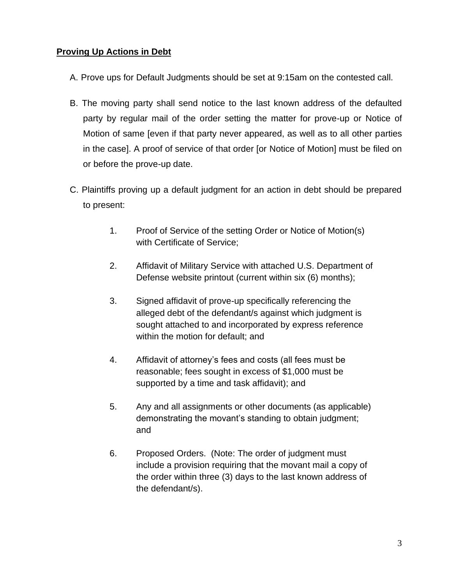## **Proving Up Actions in Debt**

- A. Prove ups for Default Judgments should be set at 9:15am on the contested call.
- B. The moving party shall send notice to the last known address of the defaulted party by regular mail of the order setting the matter for prove-up or Notice of Motion of same [even if that party never appeared, as well as to all other parties in the case]. A proof of service of that order [or Notice of Motion] must be filed on or before the prove-up date.
- C. Plaintiffs proving up a default judgment for an action in debt should be prepared to present:
	- 1. Proof of Service of the setting Order or Notice of Motion(s) with Certificate of Service;
	- 2. Affidavit of Military Service with attached U.S. Department of Defense website printout (current within six (6) months);
	- 3. Signed affidavit of prove-up specifically referencing the alleged debt of the defendant/s against which judgment is sought attached to and incorporated by express reference within the motion for default; and
	- 4. Affidavit of attorney's fees and costs (all fees must be reasonable; fees sought in excess of \$1,000 must be supported by a time and task affidavit); and
	- 5. Any and all assignments or other documents (as applicable) demonstrating the movant's standing to obtain judgment; and
	- 6. Proposed Orders. (Note: The order of judgment must include a provision requiring that the movant mail a copy of the order within three (3) days to the last known address of the defendant/s).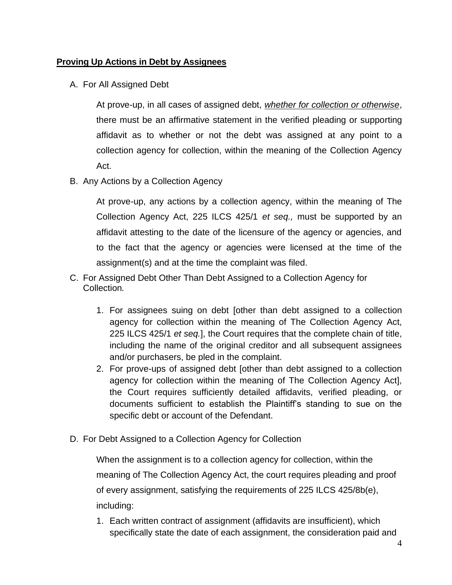#### **Proving Up Actions in Debt by Assignees**

A. For All Assigned Debt

At prove-up, in all cases of assigned debt, *whether for collection or otherwise*, there must be an affirmative statement in the verified pleading or supporting affidavit as to whether or not the debt was assigned at any point to a collection agency for collection, within the meaning of the Collection Agency Act.

B. Any Actions by a Collection Agency

At prove-up, any actions by a collection agency, within the meaning of The Collection Agency Act, 225 ILCS 425/1 *et seq.,* must be supported by an affidavit attesting to the date of the licensure of the agency or agencies, and to the fact that the agency or agencies were licensed at the time of the assignment(s) and at the time the complaint was filed.

- C. For Assigned Debt Other Than Debt Assigned to a Collection Agency for Collection*.*
	- 1. For assignees suing on debt [other than debt assigned to a collection agency for collection within the meaning of The Collection Agency Act, 225 ILCS 425/1 *et seq.*], the Court requires that the complete chain of title, including the name of the original creditor and all subsequent assignees and/or purchasers, be pled in the complaint.
	- 2. For prove-ups of assigned debt [other than debt assigned to a collection agency for collection within the meaning of The Collection Agency Act], the Court requires sufficiently detailed affidavits, verified pleading, or documents sufficient to establish the Plaintiff's standing to sue on the specific debt or account of the Defendant.
- D. For Debt Assigned to a Collection Agency for Collection

When the assignment is to a collection agency for collection, within the meaning of The Collection Agency Act, the court requires pleading and proof of every assignment, satisfying the requirements of 225 ILCS 425/8b(e), including:

1. Each written contract of assignment (affidavits are insufficient), which specifically state the date of each assignment, the consideration paid and